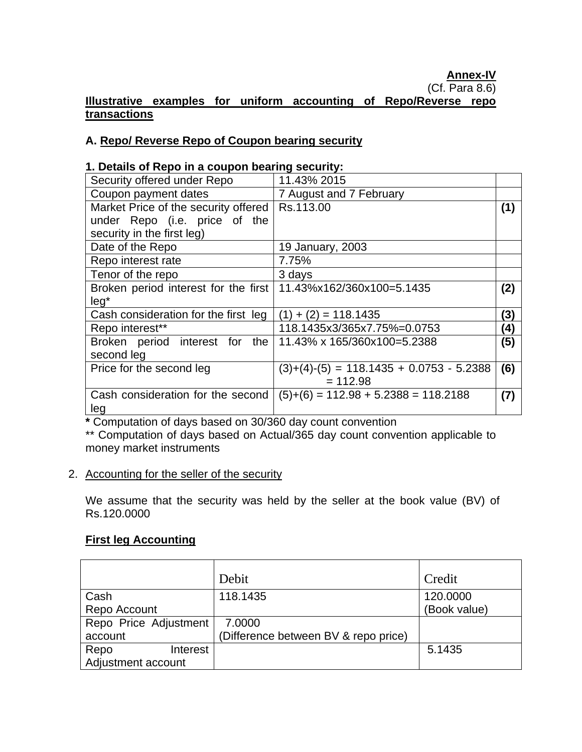### **Illustrative examples for uniform accounting of Repo/Reverse repo transactions**

#### **A. Repo/ Reverse Repo of Coupon bearing security**

#### **1. Details of Repo in a coupon bearing security:**

| Security offered under Repo                                      | 11.43% 2015                                |     |
|------------------------------------------------------------------|--------------------------------------------|-----|
| Coupon payment dates                                             | 7 August and 7 February                    |     |
| Market Price of the security offered                             | Rs.113.00                                  | (1) |
| under Repo (i.e. price of the                                    |                                            |     |
| security in the first leg)                                       |                                            |     |
| Date of the Repo                                                 | 19 January, 2003                           |     |
| Repo interest rate                                               | 7.75%                                      |     |
| Tenor of the repo                                                | 3 days                                     |     |
| Broken period interest for the first   11.43%x162/360x100=5.1435 |                                            | (2) |
| $leg*$                                                           |                                            |     |
| Cash consideration for the first leg                             | $+(2) = 118.1435$                          | (3) |
| Repo interest**                                                  | 118.1435x3/365x7.75%=0.0753                | (4) |
| Broken period interest for<br>the                                | 11.43% x 165/360x100=5.2388                | (5) |
| second leg                                                       |                                            |     |
| Price for the second leg                                         | $(3)+(4)-(5) = 118.1435 + 0.0753 - 5.2388$ | (6) |
|                                                                  | $= 112.98$                                 |     |
| Cash consideration for the second                                | $(5)+(6) = 112.98 + 5.2388 = 118.2188$     | (7) |
| leg                                                              |                                            |     |

**\*** Computation of days based on 30/360 day count convention

\*\* Computation of days based on Actual/365 day count convention applicable to money market instruments

#### 2. Accounting for the seller of the security

We assume that the security was held by the seller at the book value (BV) of Rs.120.0000

### **First leg Accounting**

|                       | Debit                                | Credit       |
|-----------------------|--------------------------------------|--------------|
| Cash                  | 118.1435                             | 120.0000     |
| Repo Account          |                                      | (Book value) |
| Repo Price Adjustment | 7.0000                               |              |
| account               | (Difference between BV & repo price) |              |
| Repo<br>Interest      |                                      | 5.1435       |
| Adjustment account    |                                      |              |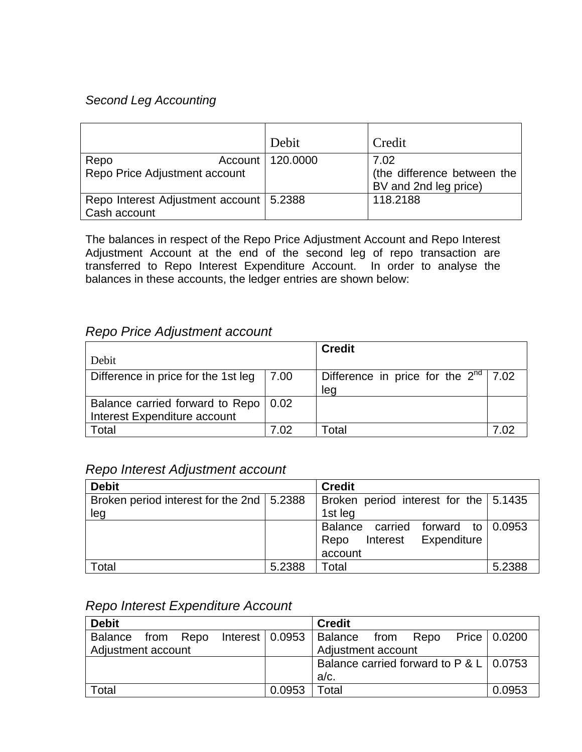# *Second Leg Accounting*

|                                                           | Debit    | Credit                                                       |
|-----------------------------------------------------------|----------|--------------------------------------------------------------|
| Account  <br>Repo<br>Repo Price Adjustment account        | 120,0000 | 7.02<br>(the difference between the<br>BV and 2nd leg price) |
| Repo Interest Adjustment account   5.2388<br>Cash account |          | 118.2188                                                     |

The balances in respect of the Repo Price Adjustment Account and Repo Interest Adjustment Account at the end of the second leg of repo transaction are transferred to Repo Interest Expenditure Account. In order to analyse the balances in these accounts, the ledger entries are shown below:

# *Repo Price Adjustment account*

|                                                                        |        | <b>Credit</b>                                      |  |
|------------------------------------------------------------------------|--------|----------------------------------------------------|--|
| Debit                                                                  |        |                                                    |  |
| Difference in price for the 1st leg                                    | $7.00$ | Difference in price for the $2^{nd}$   7.02<br>leg |  |
| Balance carried forward to Repo   0.02<br>Interest Expenditure account |        |                                                    |  |
| Total                                                                  | 7 N2   | Total                                              |  |

## *Repo Interest Adjustment account*

| <b>Debit</b>                                |        | <b>Credit</b>                             |        |
|---------------------------------------------|--------|-------------------------------------------|--------|
| Broken period interest for the 2nd   5.2388 |        | Broken period interest for the $  5.1435$ |        |
| leg                                         |        | 1st leg                                   |        |
|                                             |        | Balance carried forward to $0.0953$       |        |
|                                             |        | Interest Expenditure<br>Repo              |        |
|                                             |        | account                                   |        |
| Total                                       | 5.2388 | Total                                     | 5.2388 |

### *Repo Interest Expenditure Account*

| <b>Debit</b>       |  |  |  |                                                 | <b>Credit</b>                                       |  |  |  |                |
|--------------------|--|--|--|-------------------------------------------------|-----------------------------------------------------|--|--|--|----------------|
|                    |  |  |  |                                                 | Balance from Repo Interest 0.0953 Balance from Repo |  |  |  | Price   0.0200 |
| Adjustment account |  |  |  |                                                 | Adjustment account                                  |  |  |  |                |
|                    |  |  |  | Balance carried forward to P & L $\vert$ 0.0753 |                                                     |  |  |  |                |
|                    |  |  |  |                                                 | $a/c$ .                                             |  |  |  |                |
| Total              |  |  |  | 0.0953                                          | $\sf {Total}$                                       |  |  |  | 0.0953         |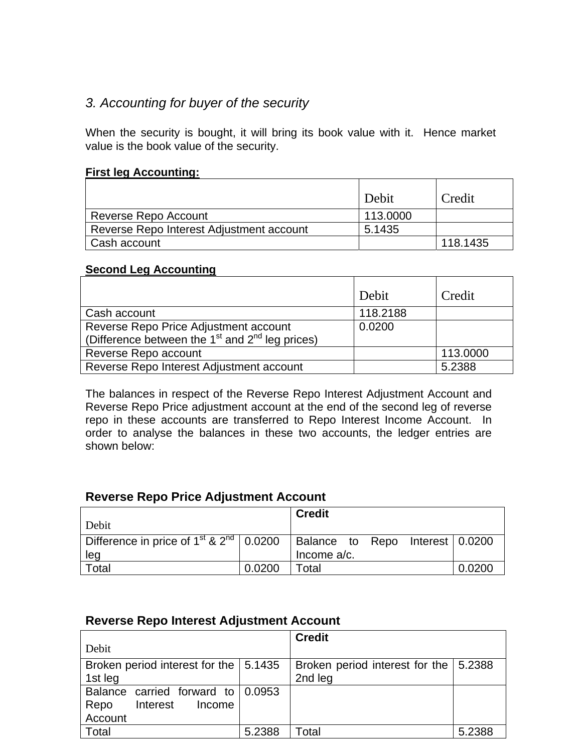# *3. Accounting for buyer of the security*

When the security is bought, it will bring its book value with it. Hence market value is the book value of the security.

#### **First leg Accounting:**

|                                          | Debit    | Credit   |
|------------------------------------------|----------|----------|
| Reverse Repo Account                     | 113,0000 |          |
| Reverse Repo Interest Adjustment account | 5.1435   |          |
| Cash account                             |          | 118.1435 |

#### **Second Leg Accounting**

|                                                                                                                  | Debit    | Credit   |
|------------------------------------------------------------------------------------------------------------------|----------|----------|
| Cash account                                                                                                     | 118.2188 |          |
| Reverse Repo Price Adjustment account<br>(Difference between the 1 <sup>st</sup> and 2 <sup>nd</sup> leg prices) | 0.0200   |          |
| Reverse Repo account                                                                                             |          | 113.0000 |
| Reverse Repo Interest Adjustment account                                                                         |          | 5.2388   |

The balances in respect of the Reverse Repo Interest Adjustment Account and Reverse Repo Price adjustment account at the end of the second leg of reverse repo in these accounts are transferred to Repo Interest Income Account. In order to analyse the balances in these two accounts, the ledger entries are shown below:

# **Reverse Repo Price Adjustment Account**

| Debit                                                                                                 |        | <b>Credit</b>  |  |        |
|-------------------------------------------------------------------------------------------------------|--------|----------------|--|--------|
| Difference in price of 1 <sup>st</sup> & 2 <sup>nd</sup>   0.0200   Balance to Repo Interest   0.0200 |        |                |  |        |
| leg                                                                                                   |        | Income $a/c$ . |  |        |
| Total                                                                                                 | 0.0200 | Total          |  | 0.0200 |

### **Reverse Repo Interest Adjustment Account**

|                                         |        | <b>Credit</b>                           |        |
|-----------------------------------------|--------|-----------------------------------------|--------|
| Debit                                   |        |                                         |        |
| Broken period interest for the   5.1435 |        | Broken period interest for the   5.2388 |        |
| 1st leg                                 |        | 2nd leg                                 |        |
| Balance carried forward to 0.0953       |        |                                         |        |
| Repo<br>Interest<br>Income              |        |                                         |        |
| Account                                 |        |                                         |        |
| Total                                   | 5.2388 | Total                                   | 5.2388 |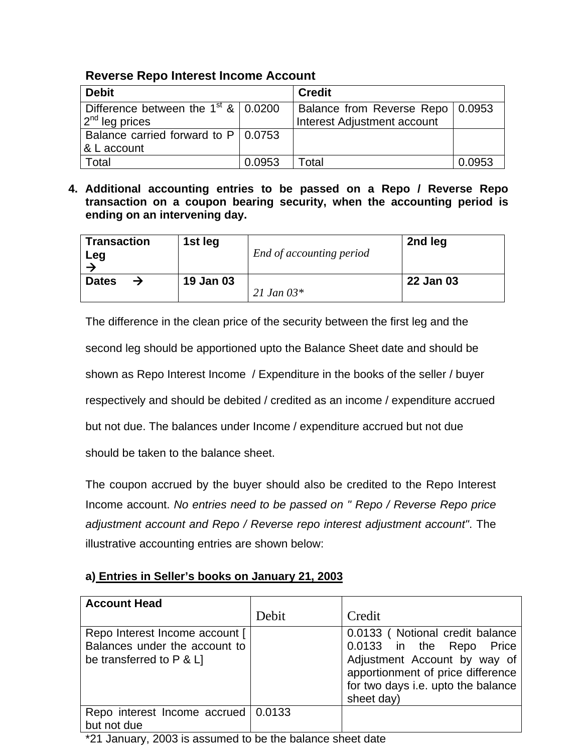## **Reverse Repo Interest Income Account**

| <b>Debit</b>                                  |        | <b>Credit</b>                      |        |
|-----------------------------------------------|--------|------------------------------------|--------|
| Difference between the $1st$ & $\vert$ 0.0200 |        | Balance from Reverse Repo   0.0953 |        |
| 2 <sup>nd</sup> leg prices                    |        | <b>Interest Adjustment account</b> |        |
| Balance carried forward to $P$   0.0753       |        |                                    |        |
| & L account                                   |        |                                    |        |
| Total                                         | 0.0953 | Total                              | 0.0953 |

**4. Additional accounting entries to be passed on a Repo / Reverse Repo transaction on a coupon bearing security, when the accounting period is ending on an intervening day.** 

| <b>Transaction</b><br>Leg     | 1st leg   | End of accounting period | 2nd leg   |
|-------------------------------|-----------|--------------------------|-----------|
| <b>Dates</b><br>$\rightarrow$ | 19 Jan 03 | 21 Jan $03*$             | 22 Jan 03 |

The difference in the clean price of the security between the first leg and the second leg should be apportioned upto the Balance Sheet date and should be shown as Repo Interest Income / Expenditure in the books of the seller / buyer respectively and should be debited / credited as an income / expenditure accrued but not due. The balances under Income / expenditure accrued but not due should be taken to the balance sheet.

The coupon accrued by the buyer should also be credited to the Repo Interest Income account. *No entries need to be passed on " Repo / Reverse Repo price adjustment account and Repo / Reverse repo interest adjustment account"*. The illustrative accounting entries are shown below:

### **a) Entries in Seller's books on January 21, 2003**

| <b>Account Head</b>                                                                         | Debit | Credit                                                                                                                                                                               |
|---------------------------------------------------------------------------------------------|-------|--------------------------------------------------------------------------------------------------------------------------------------------------------------------------------------|
| Repo Interest Income account [<br>Balances under the account to<br>be transferred to P & L] |       | 0.0133 (Notional credit balance<br>0.0133 in the Repo Price<br>Adjustment Account by way of<br>apportionment of price difference<br>for two days i.e. upto the balance<br>sheet day) |
| Repo interest Income accrued   0.0133<br>but not due                                        |       |                                                                                                                                                                                      |
| <br>$\frac{1}{2}$                                                                           |       |                                                                                                                                                                                      |

\*21 January, 2003 is assumed to be the balance sheet date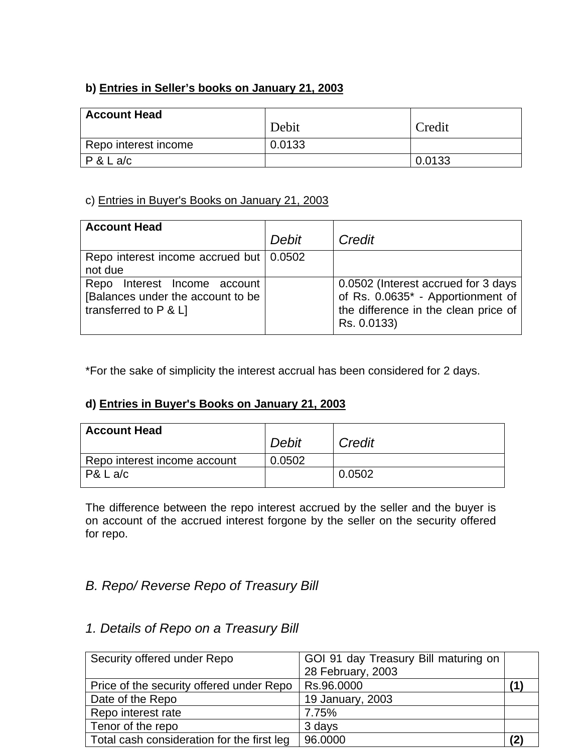# **b) Entries in Seller's books on January 21, 2003**

| <b>Account Head</b>  |        |        |
|----------------------|--------|--------|
|                      | Debit  | Credit |
| Repo interest income | 0.0133 |        |
| P & L a/c            |        | 0.0133 |

## c) Entries in Buyer's Books on January 21, 2003

| <b>Account Head</b>                                                                                |       |                                                                                                                                 |
|----------------------------------------------------------------------------------------------------|-------|---------------------------------------------------------------------------------------------------------------------------------|
|                                                                                                    | Debit | Credit                                                                                                                          |
| Repo interest income accrued but   0.0502<br>not due                                               |       |                                                                                                                                 |
| Interest Income account<br>Repo<br>[Balances under the account to be<br>transferred to $P$ & $L$ ] |       | 0.0502 (Interest accrued for 3 days<br>of Rs. 0.0635* - Apportionment of<br>the difference in the clean price of<br>Rs. 0.0133) |

\*For the sake of simplicity the interest accrual has been considered for 2 days.

### **d) Entries in Buyer's Books on January 21, 2003**

| <b>Account Head</b>          | Debit  | Credit |
|------------------------------|--------|--------|
| Repo interest income account | 0.0502 |        |
| $PA$ L a/c                   |        | 0.0502 |

The difference between the repo interest accrued by the seller and the buyer is on account of the accrued interest forgone by the seller on the security offered for repo.

# *B. Repo/ Reverse Repo of Treasury Bill*

# *1. Details of Repo on a Treasury Bill*

| Security offered under Repo                | GOI 91 day Treasury Bill maturing on |  |
|--------------------------------------------|--------------------------------------|--|
|                                            | 28 February, 2003                    |  |
| Price of the security offered under Repo   | Rs.96.0000                           |  |
| Date of the Repo                           | 19 January, 2003                     |  |
| Repo interest rate                         | 7.75%                                |  |
| Tenor of the repo                          | 3 days                               |  |
| Total cash consideration for the first leg | 96.0000                              |  |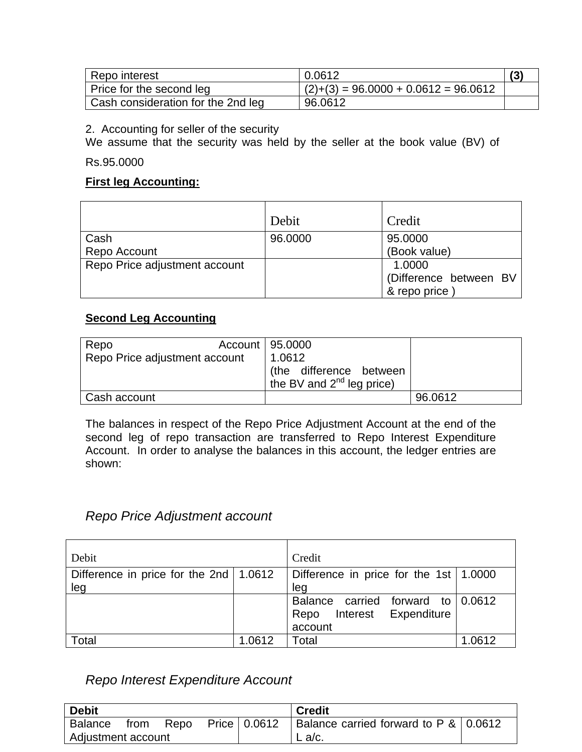| Repo interest                      | 0.0612                                 |  |
|------------------------------------|----------------------------------------|--|
| Price for the second leg           | $(2)+(3) = 96.0000 + 0.0612 = 96.0612$ |  |
| Cash consideration for the 2nd leg | 96.0612                                |  |

2. Accounting for seller of the security

We assume that the security was held by the seller at the book value (BV) of

Rs.95.0000

#### **First leg Accounting:**

|                               | Debit   | Credit                 |
|-------------------------------|---------|------------------------|
| Cash                          | 96.0000 | 95.0000                |
| Repo Account                  |         | (Book value)           |
| Repo Price adjustment account |         | 1.0000                 |
|                               |         | (Difference between BV |
|                               |         | & repo price)          |

#### **Second Leg Accounting**

| Repo<br>Repo Price adjustment account | Account   95.0000<br>1.0612<br>(the difference between<br>the BV and $2^{nd}$ leg price) |         |
|---------------------------------------|------------------------------------------------------------------------------------------|---------|
|                                       |                                                                                          |         |
| Cash account                          |                                                                                          | 96.0612 |

The balances in respect of the Repo Price Adjustment Account at the end of the second leg of repo transaction are transferred to Repo Interest Expenditure Account. In order to analyse the balances in this account, the ledger entries are shown:

### *Repo Price Adjustment account*

| Debit                                      |        | Credit                                         |        |
|--------------------------------------------|--------|------------------------------------------------|--------|
| Difference in price for the 2nd   $1.0612$ |        | Difference in price for the 1st $\vert$ 1.0000 |        |
| leg                                        |        | leg                                            |        |
|                                            |        | Balance carried forward to $0.0612$            |        |
|                                            |        | Interest Expenditure<br>Repo                   |        |
|                                            |        | account                                        |        |
| Total                                      | 1.0612 | Total                                          | 1.0612 |

### *Repo Interest Expenditure Account*

| Debit                           |      |      |                | <b>Credit</b>                           |  |
|---------------------------------|------|------|----------------|-----------------------------------------|--|
| <b>Balance</b>                  | trom | Repo | Price   0.0612 | Balance carried forward to $P & 0.0612$ |  |
| <sup>I</sup> Adjustment account |      |      |                | $L$ a/c.                                |  |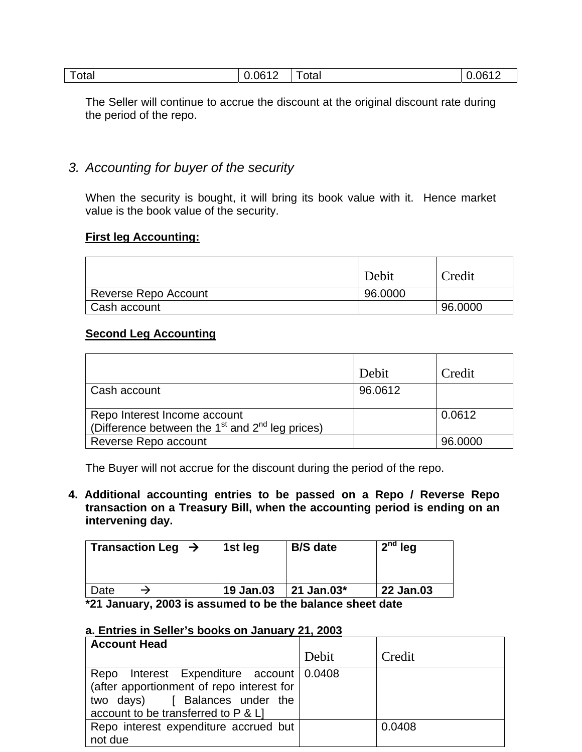| 0.061<br>™otal<br>_____ | otal<br>___ | 0.0612 |
|-------------------------|-------------|--------|
|-------------------------|-------------|--------|

The Seller will continue to accrue the discount at the original discount rate during the period of the repo.

### *3. Accounting for buyer of the security*

When the security is bought, it will bring its book value with it. Hence market value is the book value of the security.

#### **First leg Accounting:**

|                             | Debit   | Credit  |
|-----------------------------|---------|---------|
| <b>Reverse Repo Account</b> | 96.0000 |         |
| Cash account                |         | 96.0000 |

#### **Second Leg Accounting**

|                                                                                     | Debit   | Credit  |
|-------------------------------------------------------------------------------------|---------|---------|
| Cash account                                                                        | 96.0612 |         |
| Repo Interest Income account<br>(Difference between the $1st$ and $2nd$ leg prices) |         | 0.0612  |
| Reverse Repo account                                                                |         | 96.0000 |

The Buyer will not accrue for the discount during the period of the repo.

**4. Additional accounting entries to be passed on a Repo / Reverse Repo transaction on a Treasury Bill, when the accounting period is ending on an intervening day.** 

|      | Transaction Leg $\rightarrow$ | 1st leg   | <b>B/S</b> date | $2nd$ leg |
|------|-------------------------------|-----------|-----------------|-----------|
| Date |                               | 19 Jan.03 | 21 Jan.03*      | 22 Jan.03 |
|      |                               |           |                 |           |

**\*21 January, 2003 is assumed to be the balance sheet date** 

#### **a. Entries in Seller's books on January 21, 2003**

| <b>Account Head</b>                       |       |        |
|-------------------------------------------|-------|--------|
|                                           | Debit | Credit |
| Repo Interest Expenditure account 0.0408  |       |        |
| (after apportionment of repo interest for |       |        |
| two days) [ Balances under the            |       |        |
| account to be transferred to P & L]       |       |        |
| Repo interest expenditure accrued but     |       | 0.0408 |
| not due                                   |       |        |